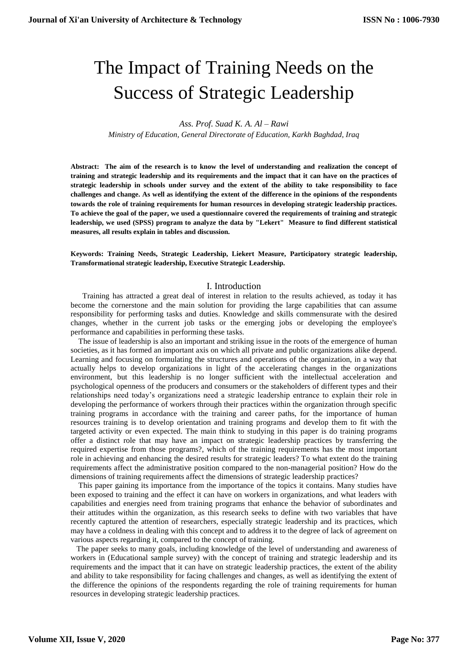# The Impact of Training Needs on the Success of Strategic Leadership

*Ass. Prof. Suad K. A. Al – Rawi*

*Ministry of Education, General Directorate of Education, Karkh Baghdad, Iraq*

**Abstract: The aim of the research is to know the level of understanding and realization the concept of training and strategic leadership and its requirements and the impact that it can have on the practices of strategic leadership in schools under survey and the extent of the ability to take responsibility to face challenges and change. As well as identifying the extent of the difference in the opinions of the respondents towards the role of training requirements for human resources in developing strategic leadership practices. To achieve the goal of the paper, we used a questionnaire covered the requirements of training and strategic leadership, we used (SPSS) program to analyze the data by "Lekert" Measure to find different statistical measures, all results explain in tables and discussion.**

**Keywords: Training Needs, Strategic Leadership, Liekert Measure, Participatory strategic leadership, Transformational strategic leadership, Executive Strategic Leadership.**

## I. Introduction

 Training has attracted a great deal of interest in relation to the results achieved, as today it has become the cornerstone and the main solution for providing the large capabilities that can assume responsibility for performing tasks and duties. Knowledge and skills commensurate with the desired changes, whether in the current job tasks or the emerging jobs or developing the employee's performance and capabilities in performing these tasks.

 The issue of leadership is also an important and striking issue in the roots of the emergence of human societies, as it has formed an important axis on which all private and public organizations alike depend. Learning and focusing on formulating the structures and operations of the organization, in a way that actually helps to develop organizations in light of the accelerating changes in the organizations environment, but this leadership is no longer sufficient with the intellectual acceleration and psychological openness of the producers and consumers or the stakeholders of different types and their relationships need today's organizations need a strategic leadership entrance to explain their role in developing the performance of workers through their practices within the organization through specific training programs in accordance with the training and career paths, for the importance of human resources training is to develop orientation and training programs and develop them to fit with the targeted activity or even expected. The main think to studying in this paper is do training programs offer a distinct role that may have an impact on strategic leadership practices by transferring the required expertise from those programs?, which of the training requirements has the most important role in achieving and enhancing the desired results for strategic leaders? To what extent do the training requirements affect the administrative position compared to the non-managerial position? How do the dimensions of training requirements affect the dimensions of strategic leadership practices?

 This paper gaining its importance from the importance of the topics it contains. Many studies have been exposed to training and the effect it can have on workers in organizations, and what leaders with capabilities and energies need from training programs that enhance the behavior of subordinates and their attitudes within the organization, as this research seeks to define with two variables that have recently captured the attention of researchers, especially strategic leadership and its practices, which may have a coldness in dealing with this concept and to address it to the degree of lack of agreement on various aspects regarding it, compared to the concept of training.

 The paper seeks to many goals, including knowledge of the level of understanding and awareness of workers in (Educational sample survey) with the concept of training and strategic leadership and its requirements and the impact that it can have on strategic leadership practices, the extent of the ability and ability to take responsibility for facing challenges and changes, as well as identifying the extent of the difference the opinions of the respondents regarding the role of training requirements for human resources in developing strategic leadership practices.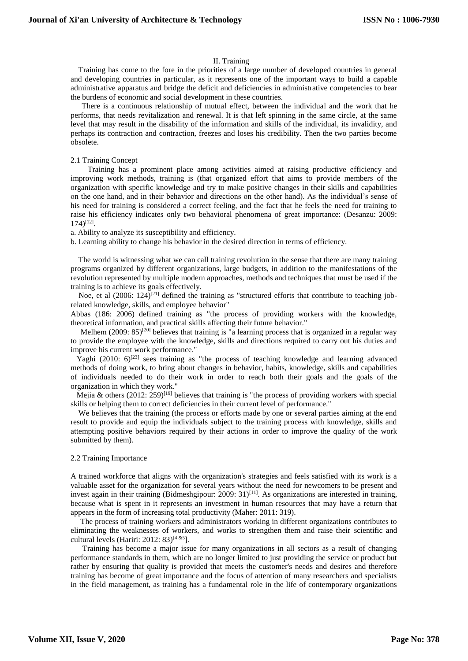## II. Training

 Training has come to the fore in the priorities of a large number of developed countries in general and developing countries in particular, as it represents one of the important ways to build a capable administrative apparatus and bridge the deficit and deficiencies in administrative competencies to bear the burdens of economic and social development in these countries.

There is a continuous relationship of mutual effect, between the individual and the work that he performs, that needs revitalization and renewal. It is that left spinning in the same circle, at the same level that may result in the disability of the information and skills of the individual, its invalidity, and perhaps its contraction and contraction, freezes and loses his credibility. Then the two parties become obsolete.

#### 2.1 Training Concept

 Training has a prominent place among activities aimed at raising productive efficiency and improving work methods, training is (that organized effort that aims to provide members of the organization with specific knowledge and try to make positive changes in their skills and capabilities on the one hand, and in their behavior and directions on the other hand). As the individual's sense of his need for training is considered a correct feeling, and the fact that he feels the need for training to raise his efficiency indicates only two behavioral phenomena of great importance: (Desanzu: 2009: 174)[12] .

a. Ability to analyze its susceptibility and efficiency.

b. Learning ability to change his behavior in the desired direction in terms of efficiency.

 The world is witnessing what we can call training revolution in the sense that there are many training programs organized by different organizations, large budgets, in addition to the manifestations of the revolution represented by multiple modern approaches, methods and techniques that must be used if the training is to achieve its goals effectively.

Noe, et al  $(2006: 124)^{[21]}$  defined the training as "structured efforts that contribute to teaching jobrelated knowledge, skills, and employee behavior"

Abbas (186: 2006) defined training as "the process of providing workers with the knowledge, theoretical information, and practical skills affecting their future behavior."

Melhem (2009: 85)<sup>[20]</sup> believes that training is "a learning process that is organized in a regular way to provide the employee with the knowledge, skills and directions required to carry out his duties and improve his current work performance."

Yaghi (2010:  $6$ )<sup>[23]</sup> sees training as "the process of teaching knowledge and learning advanced methods of doing work, to bring about changes in behavior, habits, knowledge, skills and capabilities of individuals needed to do their work in order to reach both their goals and the goals of the organization in which they work."

Mejia & others  $(2012: 259)^{[19]}$  believes that training is "the process of providing workers with special skills or helping them to correct deficiencies in their current level of performance."

 We believes that the training (the process or efforts made by one or several parties aiming at the end result to provide and equip the individuals subject to the training process with knowledge, skills and attempting positive behaviors required by their actions in order to improve the quality of the work submitted by them).

## 2.2 Training Importance

A trained workforce that aligns with the organization's strategies and feels satisfied with its work is a valuable asset for the organization for several years without the need for newcomers to be present and invest again in their training (Bidmeshgipour: 2009:  $31$ )<sup>[11]</sup>. As organizations are interested in training, because what is spent in it represents an investment in human resources that may have a return that appears in the form of increasing total productivity (Maher: 2011: 319).

 The process of training workers and administrators working in different organizations contributes to eliminating the weaknesses of workers, and works to strengthen them and raise their scientific and cultural levels (Hariri: 2012: 83) [4 &5].

 Training has become a major issue for many organizations in all sectors as a result of changing performance standards in them, which are no longer limited to just providing the service or product but rather by ensuring that quality is provided that meets the customer's needs and desires and therefore training has become of great importance and the focus of attention of many researchers and specialists in the field management, as training has a fundamental role in the life of contemporary organizations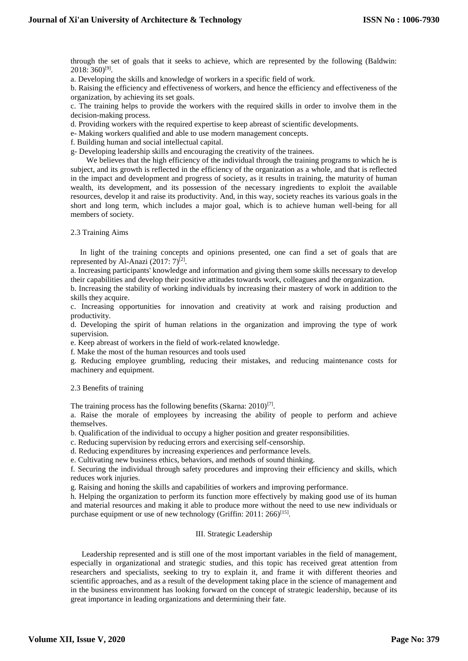through the set of goals that it seeks to achieve, which are represented by the following (Baldwin: 2018: 360)<sup>[9]</sup>.

a. Developing the skills and knowledge of workers in a specific field of work.

b. Raising the efficiency and effectiveness of workers, and hence the efficiency and effectiveness of the organization, by achieving its set goals.

c. The training helps to provide the workers with the required skills in order to involve them in the decision-making process.

d. Providing workers with the required expertise to keep abreast of scientific developments.

e- Making workers qualified and able to use modern management concepts.

f. Building human and social intellectual capital.

g- Developing leadership skills and encouraging the creativity of the trainees.

We believes that the high efficiency of the individual through the training programs to which he is subject, and its growth is reflected in the efficiency of the organization as a whole, and that is reflected in the impact and development and progress of society, as it results in training, the maturity of human wealth, its development, and its possession of the necessary ingredients to exploit the available resources, develop it and raise its productivity. And, in this way, society reaches its various goals in the short and long term, which includes a major goal, which is to achieve human well-being for all members of society.

2.3 Training Aims

 In light of the training concepts and opinions presented, one can find a set of goals that are represented by Al-Anazi  $(2017:7)^{[2]}$ .

a. Increasing participants' knowledge and information and giving them some skills necessary to develop their capabilities and develop their positive attitudes towards work, colleagues and the organization.

b. Increasing the stability of working individuals by increasing their mastery of work in addition to the skills they acquire.

c. Increasing opportunities for innovation and creativity at work and raising production and productivity.

d. Developing the spirit of human relations in the organization and improving the type of work supervision.

e. Keep abreast of workers in the field of work-related knowledge.

f. Make the most of the human resources and tools used

g. Reducing employee grumbling, reducing their mistakes, and reducing maintenance costs for machinery and equipment.

2.3 Benefits of training

The training process has the following benefits (Skarna: 2010)<sup>[7]</sup>.

a. Raise the morale of employees by increasing the ability of people to perform and achieve themselves.

b. Qualification of the individual to occupy a higher position and greater responsibilities.

c. Reducing supervision by reducing errors and exercising self-censorship.

d. Reducing expenditures by increasing experiences and performance levels.

e. Cultivating new business ethics, behaviors, and methods of sound thinking.

f. Securing the individual through safety procedures and improving their efficiency and skills, which reduces work injuries.

g. Raising and honing the skills and capabilities of workers and improving performance.

h. Helping the organization to perform its function more effectively by making good use of its human and material resources and making it able to produce more without the need to use new individuals or purchase equipment or use of new technology (Griffin: 2011: 266)<sup>[15]</sup>.

## III. Strategic Leadership

Leadership represented and is still one of the most important variables in the field of management, especially in organizational and strategic studies, and this topic has received great attention from researchers and specialists, seeking to try to explain it, and frame it with different theories and scientific approaches, and as a result of the development taking place in the science of management and in the business environment has looking forward on the concept of strategic leadership, because of its great importance in leading organizations and determining their fate.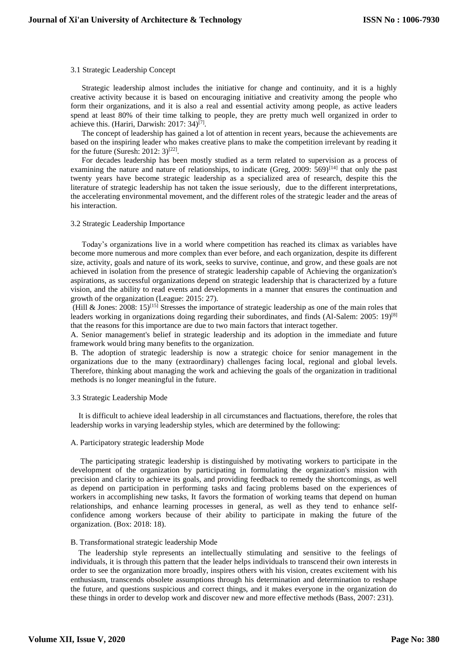#### 3.1 Strategic Leadership Concept

Strategic leadership almost includes the initiative for change and continuity, and it is a highly creative activity because it is based on encouraging initiative and creativity among the people who form their organizations, and it is also a real and essential activity among people, as active leaders spend at least 80% of their time talking to people, they are pretty much well organized in order to achieve this. (Hariri, Darwish: 2017: 34)<sup>[7]</sup>.

The concept of leadership has gained a lot of attention in recent years, because the achievements are based on the inspiring leader who makes creative plans to make the competition irrelevant by reading it for the future (Suresh: 2012:  $3)^{[22]}$ .

For decades leadership has been mostly studied as a term related to supervision as a process of examining the nature and nature of relationships, to indicate (Greg, 2009:  $569$ )<sup>[14]</sup> that only the past twenty years have become strategic leadership as a specialized area of research, despite this the literature of strategic leadership has not taken the issue seriously, due to the different interpretations, the accelerating environmental movement, and the different roles of the strategic leader and the areas of his interaction.

#### 3.2 Strategic Leadership Importance

Today's organizations live in a world where competition has reached its climax as variables have become more numerous and more complex than ever before, and each organization, despite its different size, activity, goals and nature of its work, seeks to survive, continue, and grow, and these goals are not achieved in isolation from the presence of strategic leadership capable of Achieving the organization's aspirations, as successful organizations depend on strategic leadership that is characterized by a future vision, and the ability to read events and developments in a manner that ensures the continuation and growth of the organization (League: 2015: 27).

(Hill & Jones: 2008: 15)<sup>[15]</sup> Stresses the importance of strategic leadership as one of the main roles that leaders working in organizations doing regarding their subordinates, and finds (Al-Salem: 2005: 19)<sup>[8]</sup> that the reasons for this importance are due to two main factors that interact together.

A. Senior management's belief in strategic leadership and its adoption in the immediate and future framework would bring many benefits to the organization.

B. The adoption of strategic leadership is now a strategic choice for senior management in the organizations due to the many (extraordinary) challenges facing local, regional and global levels. Therefore, thinking about managing the work and achieving the goals of the organization in traditional methods is no longer meaningful in the future.

## 3.3 Strategic Leadership Mode

 It is difficult to achieve ideal leadership in all circumstances and flactuations, therefore, the roles that leadership works in varying leadership styles, which are determined by the following:

# A. Participatory strategic leadership Mode

 The participating strategic leadership is distinguished by motivating workers to participate in the development of the organization by participating in formulating the organization's mission with precision and clarity to achieve its goals, and providing feedback to remedy the shortcomings, as well as depend on participation in performing tasks and facing problems based on the experiences of workers in accomplishing new tasks, It favors the formation of working teams that depend on human relationships, and enhance learning processes in general, as well as they tend to enhance selfconfidence among workers because of their ability to participate in making the future of the organization. (Box: 2018: 18).

## B. Transformational strategic leadership Mode

 The leadership style represents an intellectually stimulating and sensitive to the feelings of individuals, it is through this pattern that the leader helps individuals to transcend their own interests in order to see the organization more broadly, inspires others with his vision, creates excitement with his enthusiasm, transcends obsolete assumptions through his determination and determination to reshape the future, and questions suspicious and correct things, and it makes everyone in the organization do these things in order to develop work and discover new and more effective methods (Bass, 2007: 231).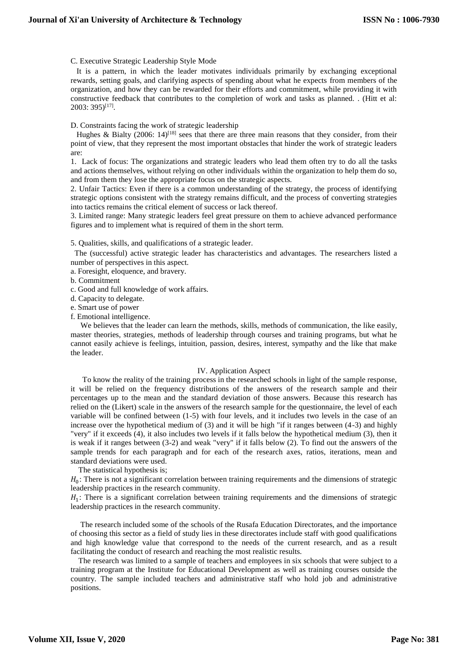#### C. Executive Strategic Leadership Style Mode

 It is a pattern, in which the leader motivates individuals primarily by exchanging exceptional rewards, setting goals, and clarifying aspects of spending about what he expects from members of the organization, and how they can be rewarded for their efforts and commitment, while providing it with constructive feedback that contributes to the completion of work and tasks as planned. . (Hitt et al:  $2003:395$ <sup>[17]</sup>.

## D. Constraints facing the work of strategic leadership

Hughes & Bialty (2006:  $14$ )<sup>[18]</sup> sees that there are three main reasons that they consider, from their point of view, that they represent the most important obstacles that hinder the work of strategic leaders are:

1. Lack of focus: The organizations and strategic leaders who lead them often try to do all the tasks and actions themselves, without relying on other individuals within the organization to help them do so, and from them they lose the appropriate focus on the strategic aspects.

2. Unfair Tactics: Even if there is a common understanding of the strategy, the process of identifying strategic options consistent with the strategy remains difficult, and the process of converting strategies into tactics remains the critical element of success or lack thereof.

3. Limited range: Many strategic leaders feel great pressure on them to achieve advanced performance figures and to implement what is required of them in the short term.

#### 5. Qualities, skills, and qualifications of a strategic leader.

 The (successful) active strategic leader has characteristics and advantages. The researchers listed a number of perspectives in this aspect.

a. Foresight, eloquence, and bravery.

b. Commitment

c. Good and full knowledge of work affairs.

d. Capacity to delegate.

e. Smart use of power

f. Emotional intelligence.

We believes that the leader can learn the methods, skills, methods of communication, the like easily, master theories, strategies, methods of leadership through courses and training programs, but what he cannot easily achieve is feelings, intuition, passion, desires, interest, sympathy and the like that make the leader.

## IV. Application Aspect

 To know the reality of the training process in the researched schools in light of the sample response, it will be relied on the frequency distributions of the answers of the research sample and their percentages up to the mean and the standard deviation of those answers. Because this research has relied on the (Likert) scale in the answers of the research sample for the questionnaire, the level of each variable will be confined between (1-5) with four levels, and it includes two levels in the case of an increase over the hypothetical medium of (3) and it will be high "if it ranges between (4-3) and highly "very" if it exceeds (4), it also includes two levels if it falls below the hypothetical medium (3), then it is weak if it ranges between (3-2) and weak "very" if it falls below (2). To find out the answers of the sample trends for each paragraph and for each of the research axes, ratios, iterations, mean and standard deviations were used.

The statistical hypothesis is;

 $H_0$ : There is not a significant correlation between training requirements and the dimensions of strategic leadership practices in the research community.

 $H_1$ : There is a significant correlation between training requirements and the dimensions of strategic leadership practices in the research community.

 The research included some of the schools of the Rusafa Education Directorates, and the importance of choosing this sector as a field of study lies in these directorates include staff with good qualifications and high knowledge value that correspond to the needs of the current research, and as a result facilitating the conduct of research and reaching the most realistic results.

 The research was limited to a sample of teachers and employees in six schools that were subject to a training program at the Institute for Educational Development as well as training courses outside the country. The sample included teachers and administrative staff who hold job and administrative positions.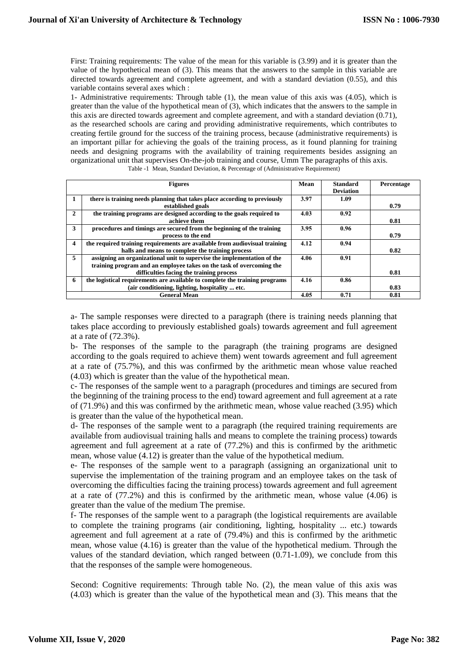First: Training requirements: The value of the mean for this variable is (3.99) and it is greater than the value of the hypothetical mean of (3). This means that the answers to the sample in this variable are directed towards agreement and complete agreement, and with a standard deviation (0.55), and this variable contains several axes which :

1- Administrative requirements: Through table (1), the mean value of this axis was (4.05), which is greater than the value of the hypothetical mean of (3), which indicates that the answers to the sample in this axis are directed towards agreement and complete agreement, and with a standard deviation (0.71), as the researched schools are caring and providing administrative requirements, which contributes to creating fertile ground for the success of the training process, because (administrative requirements) is an important pillar for achieving the goals of the training process, as it found planning for training needs and designing programs with the availability of training requirements besides assigning an organizational unit that supervises On-the-job training and course, Umm The paragraphs of this axis. Table -1 Mean, Standard Deviation, & Percentage of (Administrative Requirement)

|              | <b>Figures</b>                                                              | Mean | <b>Standard</b>  | Percentage |
|--------------|-----------------------------------------------------------------------------|------|------------------|------------|
|              |                                                                             |      | <b>Deviation</b> |            |
|              | there is training needs planning that takes place according to previously   | 3.97 | 1.09             |            |
|              | established goals                                                           |      |                  | 0.79       |
| $\mathbf{2}$ | the training programs are designed according to the goals required to       | 4.03 | 0.92             |            |
|              | achieve them                                                                |      |                  | 0.81       |
| 3            | procedures and timings are secured from the beginning of the training       | 3.95 | 0.96             |            |
|              | process to the end                                                          |      |                  | 0.79       |
| 4            | the required training requirements are available from audiovisual training  | 4.12 | 0.94             |            |
|              | halls and means to complete the training process                            |      |                  | 0.82       |
| 5            | assigning an organizational unit to supervise the implementation of the     | 4.06 | 0.91             |            |
|              | training program and an employee takes on the task of overcoming the        |      |                  |            |
|              | difficulties facing the training process                                    |      |                  | 0.81       |
| 6            | the logistical requirements are available to complete the training programs | 4.16 | 0.86             |            |
|              | (air conditioning, lighting, hospitality  etc.)                             |      |                  | 0.83       |
|              | <b>General Mean</b>                                                         | 4.05 | 0.71             | 0.81       |

a- The sample responses were directed to a paragraph (there is training needs planning that takes place according to previously established goals) towards agreement and full agreement at a rate of (72.3%).

b- The responses of the sample to the paragraph (the training programs are designed according to the goals required to achieve them) went towards agreement and full agreement at a rate of (75.7%), and this was confirmed by the arithmetic mean whose value reached (4.03) which is greater than the value of the hypothetical mean.

c- The responses of the sample went to a paragraph (procedures and timings are secured from the beginning of the training process to the end) toward agreement and full agreement at a rate of (71.9%) and this was confirmed by the arithmetic mean, whose value reached (3.95) which is greater than the value of the hypothetical mean.

d- The responses of the sample went to a paragraph (the required training requirements are available from audiovisual training halls and means to complete the training process) towards agreement and full agreement at a rate of (77.2%) and this is confirmed by the arithmetic mean, whose value (4.12) is greater than the value of the hypothetical medium.

e- The responses of the sample went to a paragraph (assigning an organizational unit to supervise the implementation of the training program and an employee takes on the task of overcoming the difficulties facing the training process) towards agreement and full agreement at a rate of (77.2%) and this is confirmed by the arithmetic mean, whose value (4.06) is greater than the value of the medium The premise.

f- The responses of the sample went to a paragraph (the logistical requirements are available to complete the training programs (air conditioning, lighting, hospitality ... etc.) towards agreement and full agreement at a rate of (79.4%) and this is confirmed by the arithmetic mean, whose value (4.16) is greater than the value of the hypothetical medium. Through the values of the standard deviation, which ranged between (0.71-1.09), we conclude from this that the responses of the sample were homogeneous.

Second: Cognitive requirements: Through table No. (2), the mean value of this axis was (4.03) which is greater than the value of the hypothetical mean and (3). This means that the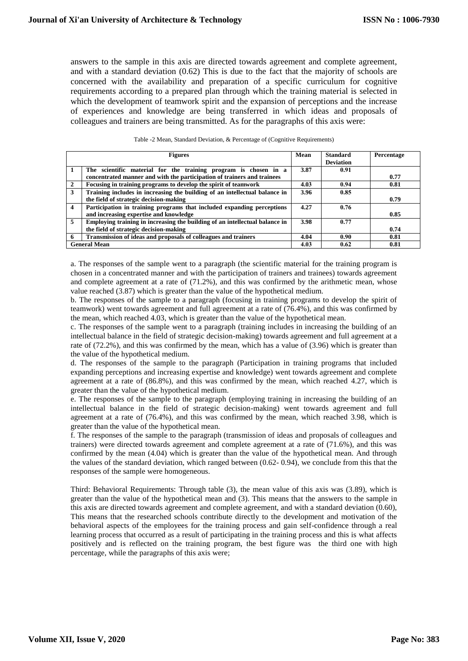answers to the sample in this axis are directed towards agreement and complete agreement, and with a standard deviation (0.62) This is due to the fact that the majority of schools are concerned with the availability and preparation of a specific curriculum for cognitive requirements according to a prepared plan through which the training material is selected in which the development of teamwork spirit and the expansion of perceptions and the increase of experiences and knowledge are being transferred in which ideas and proposals of colleagues and trainers are being transmitted. As for the paragraphs of this axis were:

|                         | <b>Figures</b>                                                                                                                             | Mean | <b>Standard</b><br><b>Deviation</b> | Percentage |
|-------------------------|--------------------------------------------------------------------------------------------------------------------------------------------|------|-------------------------------------|------------|
|                         | The scientific material for the training program is chosen in a<br>concentrated manner and with the participation of trainers and trainees | 3.87 | 0.91                                | 0.77       |
| $\mathbf{2}$            | Focusing in training programs to develop the spirit of teamwork                                                                            | 4.03 | 0.94                                | 0.81       |
| 3                       | Training includes in increasing the building of an intellectual balance in                                                                 | 3.96 | 0.85                                |            |
|                         | the field of strategic decision-making                                                                                                     |      |                                     | 0.79       |
| $\overline{\mathbf{4}}$ | Participation in training programs that included expanding perceptions                                                                     | 4.27 | 0.76                                |            |
|                         | and increasing expertise and knowledge                                                                                                     |      |                                     | 0.85       |
| 5                       | Employing training in increasing the building of an intellectual balance in                                                                | 3.98 | 0.77                                |            |
|                         | the field of strategic decision-making                                                                                                     |      |                                     | 0.74       |
| 6                       | Transmission of ideas and proposals of colleagues and trainers                                                                             | 4.04 | 0.90                                | 0.81       |
|                         | <b>General Mean</b>                                                                                                                        | 4.03 | 0.62                                | 0.81       |

| Table -2 Mean, Standard Deviation, & Percentage of (Cognitive Requirements) |  |  |
|-----------------------------------------------------------------------------|--|--|
|-----------------------------------------------------------------------------|--|--|

a. The responses of the sample went to a paragraph (the scientific material for the training program is chosen in a concentrated manner and with the participation of trainers and trainees) towards agreement and complete agreement at a rate of (71.2%), and this was confirmed by the arithmetic mean, whose value reached (3.87) which is greater than the value of the hypothetical medium.

b. The responses of the sample to a paragraph (focusing in training programs to develop the spirit of teamwork) went towards agreement and full agreement at a rate of (76.4%), and this was confirmed by the mean, which reached 4.03, which is greater than the value of the hypothetical mean.

c. The responses of the sample went to a paragraph (training includes in increasing the building of an intellectual balance in the field of strategic decision-making) towards agreement and full agreement at a rate of (72.2%), and this was confirmed by the mean, which has a value of (3.96) which is greater than the value of the hypothetical medium.

d. The responses of the sample to the paragraph (Participation in training programs that included expanding perceptions and increasing expertise and knowledge) went towards agreement and complete agreement at a rate of (86.8%), and this was confirmed by the mean, which reached 4.27, which is greater than the value of the hypothetical medium.

e. The responses of the sample to the paragraph (employing training in increasing the building of an intellectual balance in the field of strategic decision-making) went towards agreement and full agreement at a rate of (76.4%), and this was confirmed by the mean, which reached 3.98, which is greater than the value of the hypothetical mean.

f. The responses of the sample to the paragraph (transmission of ideas and proposals of colleagues and trainers) were directed towards agreement and complete agreement at a rate of (71.6%), and this was confirmed by the mean (4.04) which is greater than the value of the hypothetical mean. And through the values of the standard deviation, which ranged between (0.62- 0.94), we conclude from this that the responses of the sample were homogeneous.

Third: Behavioral Requirements: Through table (3), the mean value of this axis was (3.89), which is greater than the value of the hypothetical mean and (3). This means that the answers to the sample in this axis are directed towards agreement and complete agreement, and with a standard deviation (0.60), This means that the researched schools contribute directly to the development and motivation of the behavioral aspects of the employees for the training process and gain self-confidence through a real learning process that occurred as a result of participating in the training process and this is what affects positively and is reflected on the training program, the best figure was the third one with high percentage, while the paragraphs of this axis were;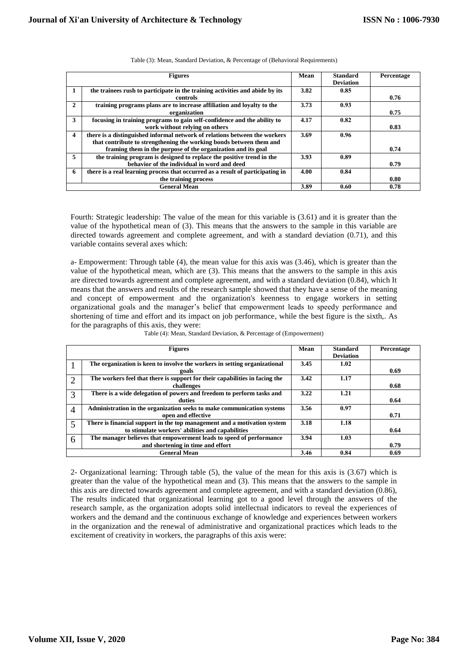|              | <b>Figures</b>                                                                                                                                                                                                    | Mean | <b>Standard</b><br><b>Deviation</b> | Percentage |
|--------------|-------------------------------------------------------------------------------------------------------------------------------------------------------------------------------------------------------------------|------|-------------------------------------|------------|
|              | the trainees rush to participate in the training activities and abide by its<br>controls                                                                                                                          | 3.82 | 0.85                                | 0.76       |
| $\mathbf{2}$ | training programs plans are to increase affiliation and loyalty to the<br>organization                                                                                                                            | 3.73 | 0.93                                | 0.75       |
| 3            | focusing in training programs to gain self-confidence and the ability to<br>work without relying on others                                                                                                        | 4.17 | 0.82                                | 0.83       |
| 4            | there is a distinguished informal network of relations between the workers<br>that contribute to strengthening the working bonds between them and<br>framing them in the purpose of the organization and its goal | 3.69 | 0.96                                | 0.74       |
| 5            | the training program is designed to replace the positive trend in the<br>behavior of the individual in word and deed                                                                                              | 3.93 | 0.89                                | 0.79       |
| 6            | there is a real learning process that occurred as a result of participating in<br>the training process                                                                                                            | 4.00 | 0.84                                | 0.80       |
|              | <b>General Mean</b>                                                                                                                                                                                               | 3.89 | 0.60                                | 0.78       |

Table (3): Mean, Standard Deviation, & Percentage of (Behavioral Requirements)

Fourth: Strategic leadership: The value of the mean for this variable is (3.61) and it is greater than the value of the hypothetical mean of (3). This means that the answers to the sample in this variable are directed towards agreement and complete agreement, and with a standard deviation (0.71), and this variable contains several axes which:

a- Empowerment: Through table (4), the mean value for this axis was (3.46), which is greater than the value of the hypothetical mean, which are (3). This means that the answers to the sample in this axis are directed towards agreement and complete agreement, and with a standard deviation (0.84), which It means that the answers and results of the research sample showed that they have a sense of the meaning and concept of empowerment and the organization's keenness to engage workers in setting organizational goals and the manager's belief that empowerment leads to speedy performance and shortening of time and effort and its impact on job performance, while the best figure is the sixth,. As for the paragraphs of this axis, they were:

| Table (4): Mean, Standard Deviation, & Percentage of (Empowerment) |  |
|--------------------------------------------------------------------|--|

|                | <b>Figures</b>                                                              | Mean | <b>Standard</b><br><b>Deviation</b> | Percentage |
|----------------|-----------------------------------------------------------------------------|------|-------------------------------------|------------|
|                | The organization is keen to involve the workers in setting organizational   | 3.45 | 1.02                                |            |
|                | goals                                                                       |      |                                     | 0.69       |
| $\overline{2}$ | The workers feel that there is support for their capabilities in facing the | 3.42 | 1.17                                |            |
|                | challenges                                                                  |      |                                     | 0.68       |
| 3              | There is a wide delegation of powers and freedom to perform tasks and       | 3.22 | 1.21                                |            |
|                | duties                                                                      |      |                                     | 0.64       |
| $\overline{4}$ | Administration in the organization seeks to make communication systems      | 3.56 | 0.97                                |            |
|                | open and effective                                                          |      |                                     | 0.71       |
| 5              | There is financial support in the top management and a motivation system    | 3.18 | 1.18                                |            |
|                | to stimulate workers' abilities and capabilities                            |      |                                     | 0.64       |
| 6              | The manager believes that empowerment leads to speed of performance         | 3.94 | 1.03                                |            |
|                | and shortening in time and effort                                           |      |                                     | 0.79       |
|                | <b>General Mean</b>                                                         | 3.46 | 0.84                                | 0.69       |

2- Organizational learning: Through table (5), the value of the mean for this axis is (3.67) which is greater than the value of the hypothetical mean and (3). This means that the answers to the sample in this axis are directed towards agreement and complete agreement, and with a standard deviation (0.86), The results indicated that organizational learning got to a good level through the answers of the research sample, as the organization adopts solid intellectual indicators to reveal the experiences of workers and the demand and the continuous exchange of knowledge and experiences between workers in the organization and the renewal of administrative and organizational practices which leads to the excitement of creativity in workers, the paragraphs of this axis were: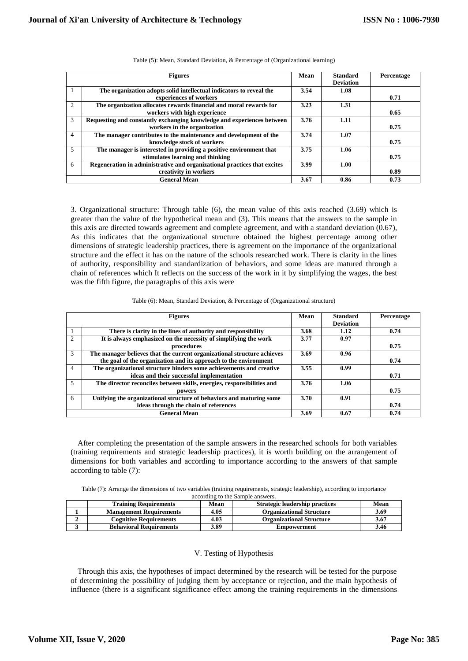|                | <b>Figures</b>                                                           | Mean | <b>Standard</b><br><b>Deviation</b> | Percentage |
|----------------|--------------------------------------------------------------------------|------|-------------------------------------|------------|
|                | The organization adopts solid intellectual indicators to reveal the      | 3.54 | 1.08                                |            |
|                | experiences of workers                                                   |      |                                     | 0.71       |
| $\mathcal{D}$  | The organization allocates rewards financial and moral rewards for       | 3.23 | 1.31                                |            |
|                | workers with high experience                                             |      |                                     | 0.65       |
| 3              | Requesting and constantly exchanging knowledge and experiences between   | 3.76 | 1.11                                |            |
|                | workers in the organization                                              |      |                                     | 0.75       |
| $\overline{4}$ | The manager contributes to the maintenance and development of the        | 3.74 | 1.07                                |            |
|                | knowledge stock of workers                                               |      |                                     | 0.75       |
| 5              | The manager is interested in providing a positive environment that       | 3.75 | 1.06                                |            |
|                | stimulates learning and thinking                                         |      |                                     | 0.75       |
| 6              | Regeneration in administrative and organizational practices that excites | 3.99 | 1.00                                |            |
|                | creativity in workers                                                    |      |                                     | 0.89       |
|                | <b>General Mean</b>                                                      | 3.67 | 0.86                                | 0.73       |

Table (5): Mean, Standard Deviation, & Percentage of (Organizational learning)

3. Organizational structure: Through table (6), the mean value of this axis reached (3.69) which is greater than the value of the hypothetical mean and (3). This means that the answers to the sample in this axis are directed towards agreement and complete agreement, and with a standard deviation (0.67), As this indicates that the organizational structure obtained the highest percentage among other dimensions of strategic leadership practices, there is agreement on the importance of the organizational structure and the effect it has on the nature of the schools researched work. There is clarity in the lines of authority, responsibility and standardization of behaviors, and some ideas are matured through a chain of references which It reflects on the success of the work in it by simplifying the wages, the best was the fifth figure, the paragraphs of this axis were

|                             | <b>Figures</b>                                                          | Mean | <b>Standard</b><br><b>Deviation</b> | Percentage |
|-----------------------------|-------------------------------------------------------------------------|------|-------------------------------------|------------|
|                             | There is clarity in the lines of authority and responsibility           | 3.68 | 1.12                                | 0.74       |
| $\mathcal{D}_{\mathcal{L}}$ | It is always emphasized on the necessity of simplifying the work        | 3.77 | 0.97                                |            |
|                             | procedures                                                              |      |                                     | 0.75       |
| 3                           | The manager believes that the current organizational structure achieves | 3.69 | 0.96                                |            |
|                             | the goal of the organization and its approach to the environment        |      |                                     | 0.74       |
| 4                           | The organizational structure hinders some achievements and creative     | 3.55 | 0.99                                |            |
|                             | ideas and their successful implementation                               |      |                                     | 0.71       |
| 5                           | The director reconciles between skills, energies, responsibilities and  | 3.76 | 1.06                                |            |
|                             | powers                                                                  |      |                                     | 0.75       |
| 6                           | Unifying the organizational structure of behaviors and maturing some    | 3.70 | 0.91                                |            |
|                             | ideas through the chain of references                                   |      |                                     | 0.74       |
|                             | <b>General Mean</b>                                                     | 3.69 | 0.67                                | 0.74       |

 After completing the presentation of the sample answers in the researched schools for both variables (training requirements and strategic leadership practices), it is worth building on the arrangement of dimensions for both variables and according to importance according to the answers of that sample according to table (7):

| Table (7): Arrange the dimensions of two variables (training requirements, strategic leadership), according to importance |                                 |  |  |
|---------------------------------------------------------------------------------------------------------------------------|---------------------------------|--|--|
|                                                                                                                           | secording to the Sample answers |  |  |

| according to the Bannie allowers. |                                |                    |                                       |             |  |  |  |  |  |  |
|-----------------------------------|--------------------------------|--------------------|---------------------------------------|-------------|--|--|--|--|--|--|
|                                   | <b>Training Requirements</b>   | Mean               | <b>Strategic leadership practices</b> | <b>Mean</b> |  |  |  |  |  |  |
|                                   | <b>Management Requirements</b> | 4.05               | <b>Organizational Structure</b>       | 3.69        |  |  |  |  |  |  |
|                                   | <b>Cognitive Requirements</b>  | 4.03               | <b>Organizational Structure</b>       | 3.67        |  |  |  |  |  |  |
|                                   | <b>Behavioral Requirements</b> | <i><b>5.89</b></i> | Empowerment                           | 3.46        |  |  |  |  |  |  |
|                                   |                                |                    |                                       |             |  |  |  |  |  |  |

# V. Testing of Hypothesis

 Through this axis, the hypotheses of impact determined by the research will be tested for the purpose of determining the possibility of judging them by acceptance or rejection, and the main hypothesis of influence (there is a significant significance effect among the training requirements in the dimensions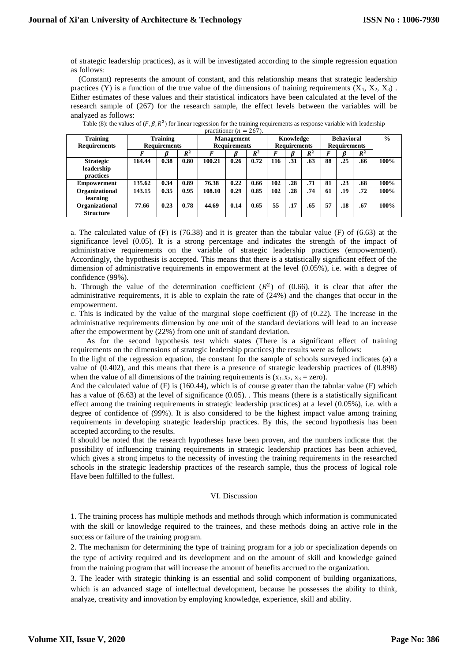of strategic leadership practices), as it will be investigated according to the simple regression equation as follows:

 (Constant) represents the amount of constant, and this relationship means that strategic leadership practices (Y) is a function of the true value of the dimensions of training requirements (X<sub>1</sub>, X<sub>2</sub>, X<sub>3</sub>). Either estimates of these values and their statistical indicators have been calculated at the level of the research sample of (267) for the research sample, the effect levels between the variables will be analyzed as follows:

| practitioner $(n = 207)$ . |                 |                     |                   |        |                     |       |                   |                     |               |    |                     |       |      |
|----------------------------|-----------------|---------------------|-------------------|--------|---------------------|-------|-------------------|---------------------|---------------|----|---------------------|-------|------|
| <b>Training</b>            | <b>Training</b> |                     | <b>Management</b> |        | Knowledge           |       | <b>Behavioral</b> |                     | $\frac{0}{0}$ |    |                     |       |      |
| <b>Requirements</b>        |                 | <b>Requirements</b> |                   |        | <b>Requirements</b> |       |                   | <b>Requirements</b> |               |    | <b>Requirements</b> |       |      |
|                            |                 |                     | $R^2$             |        |                     | $R^2$ |                   | ß                   | $R^2$         | F  |                     | $R^2$ |      |
| <b>Strategic</b>           | 164.44          | 0.38                | 0.80              | 100.21 | 0.26                | 0.72  | 116               | .31                 | .63           | 88 | .25                 | .66   | 100% |
| leadership                 |                 |                     |                   |        |                     |       |                   |                     |               |    |                     |       |      |
| <b>practices</b>           |                 |                     |                   |        |                     |       |                   |                     |               |    |                     |       |      |
| <b>Empowerment</b>         | 135.62          | 0.34                | 0.89              | 76.38  | 0.22                | 0.66  | 102               | .28                 | .71           | 81 | .23                 | .68   | 100% |
| Organizational             | 143.15          | 0.35                | 0.95              | 108.10 | 0.29                | 0.85  | 102               | .28                 | .74           | 61 | .19                 | .72   | 100% |
| learning                   |                 |                     |                   |        |                     |       |                   |                     |               |    |                     |       |      |
| Organizational             | 77.66           | 0.23                | 0.78              | 44.69  | 0.14                | 0.65  | 55                | .17                 | .65           | 57 | .18                 | .67   | 100% |
| <b>Structure</b>           |                 |                     |                   |        |                     |       |                   |                     |               |    |                     |       |      |

| Table (8): the values of $(F, \beta, R^2)$ for linear regression for the training requirements as response variable with leadership |                |  |
|-------------------------------------------------------------------------------------------------------------------------------------|----------------|--|
|                                                                                                                                     | ファイン アンバー ロイラン |  |

a. The calculated value of (F) is (76.38) and it is greater than the tabular value (F) of (6.63) at the significance level (0.05). It is a strong percentage and indicates the strength of the impact of administrative requirements on the variable of strategic leadership practices (empowerment). Accordingly, the hypothesis is accepted. This means that there is a statistically significant effect of the dimension of administrative requirements in empowerment at the level (0.05%), i.e. with a degree of confidence (99%).

b. Through the value of the determination coefficient  $(R^2)$  of (0.66), it is clear that after the administrative requirements, it is able to explain the rate of (24%) and the changes that occur in the empowerment.

c. This is indicated by the value of the marginal slope coefficient (β) of (0.22). The increase in the administrative requirements dimension by one unit of the standard deviations will lead to an increase after the empowerment by (22%) from one unit of standard deviation.

 As for the second hypothesis test which states (There is a significant effect of training requirements on the dimensions of strategic leadership practices) the results were as follows:

In the light of the regression equation, the constant for the sample of schools surveyed indicates (a) a value of (0.402), and this means that there is a presence of strategic leadership practices of (0.898) when the value of all dimensions of the training requirements is  $(x_1.x_2, x_3 = zero)$ .

And the calculated value of  $(F)$  is (160.44), which is of course greater than the tabular value  $(F)$  which has a value of (6.63) at the level of significance (0.05). This means (there is a statistically significant effect among the training requirements in strategic leadership practices) at a level (0.05%), i.e. with a degree of confidence of (99%). It is also considered to be the highest impact value among training requirements in developing strategic leadership practices. By this, the second hypothesis has been accepted according to the results.

It should be noted that the research hypotheses have been proven, and the numbers indicate that the possibility of influencing training requirements in strategic leadership practices has been achieved, which gives a strong impetus to the necessity of investing the training requirements in the researched schools in the strategic leadership practices of the research sample, thus the process of logical role Have been fulfilled to the fullest.

# VI. Discussion

1. The training process has multiple methods and methods through which information is communicated with the skill or knowledge required to the trainees, and these methods doing an active role in the success or failure of the training program.

2. The mechanism for determining the type of training program for a job or specialization depends on the type of activity required and its development and on the amount of skill and knowledge gained from the training program that will increase the amount of benefits accrued to the organization.

3. The leader with strategic thinking is an essential and solid component of building organizations, which is an advanced stage of intellectual development, because he possesses the ability to think, analyze, creativity and innovation by employing knowledge, experience, skill and ability.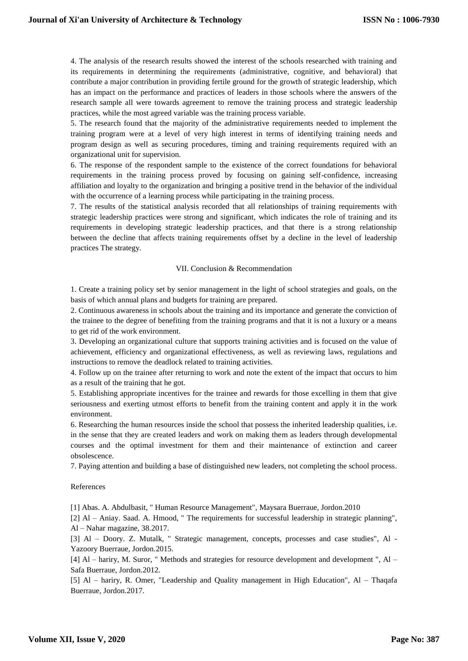4. The analysis of the research results showed the interest of the schools researched with training and its requirements in determining the requirements (administrative, cognitive, and behavioral) that contribute a major contribution in providing fertile ground for the growth of strategic leadership, which has an impact on the performance and practices of leaders in those schools where the answers of the research sample all were towards agreement to remove the training process and strategic leadership practices, while the most agreed variable was the training process variable.

5. The research found that the majority of the administrative requirements needed to implement the training program were at a level of very high interest in terms of identifying training needs and program design as well as securing procedures, timing and training requirements required with an organizational unit for supervision.

6. The response of the respondent sample to the existence of the correct foundations for behavioral requirements in the training process proved by focusing on gaining self-confidence, increasing affiliation and loyalty to the organization and bringing a positive trend in the behavior of the individual with the occurrence of a learning process while participating in the training process.

7. The results of the statistical analysis recorded that all relationships of training requirements with strategic leadership practices were strong and significant, which indicates the role of training and its requirements in developing strategic leadership practices, and that there is a strong relationship between the decline that affects training requirements offset by a decline in the level of leadership practices The strategy.

## VII. Conclusion & Recommendation

1. Create a training policy set by senior management in the light of school strategies and goals, on the basis of which annual plans and budgets for training are prepared.

2. Continuous awareness in schools about the training and its importance and generate the conviction of the trainee to the degree of benefiting from the training programs and that it is not a luxury or a means to get rid of the work environment.

3. Developing an organizational culture that supports training activities and is focused on the value of achievement, efficiency and organizational effectiveness, as well as reviewing laws, regulations and instructions to remove the deadlock related to training activities.

4. Follow up on the trainee after returning to work and note the extent of the impact that occurs to him as a result of the training that he got.

5. Establishing appropriate incentives for the trainee and rewards for those excelling in them that give seriousness and exerting utmost efforts to benefit from the training content and apply it in the work environment.

6. Researching the human resources inside the school that possess the inherited leadership qualities, i.e. in the sense that they are created leaders and work on making them as leaders through developmental courses and the optimal investment for them and their maintenance of extinction and career obsolescence.

7. Paying attention and building a base of distinguished new leaders, not completing the school process.

# References

[1] Abas. A. Abdulbasit, " Human Resource Management", Maysara Buerraue, Jordon.2010

[2] Al – Aniay. Saad. A. Hmood, " The requirements for successful leadership in strategic planning", Al – Nahar magazine, 38.2017.

[3] Al – Doory. Z. Mutalk, " Strategic management, concepts, processes and case studies", Al - Yazoory Buerraue, Jordon.2015.

[4] Al – hariry, M. Suror, " Methods and strategies for resource development and development ", Al – Safa Buerraue, Jordon.2012.

[5] Al – hariry, R. Omer, "Leadership and Quality management in High Education", Al – Thaqafa Buerraue, Jordon.2017.